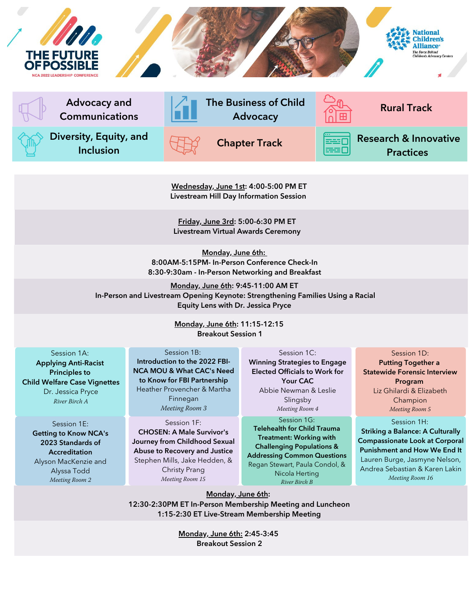

Wednesday, June 1st: 4:00-5:00 PM ET Livestream Hill Day Information Session

Friday, June 3rd: 5:00-6:30 PM ET Livestream Virtual Awards Ceremony

Monday, June 6th: 8:00AM-5:15PM- In-Person Conference Check-In 8:30-9:30am - In-Person Networking and Breakfast

Monday, June 6th: 9:45-11:00 AM ET In-Person and Livestream Opening Keynote: Strengthening Families Using a Racial Equity Lens with Dr. Jessica Pryce

> Monday, June 6th: 11:15-12:15 Breakout Session 1

Session 1A: Applying Anti-Racist Principles to Child Welfare Case Vignettes Dr. Jessica Pryce River Birch A

Session 1E: Getting to Know NCA's 2023 Standards of **Accreditation** Alyson MacKenzie and Alyssa Todd Meeting Room 2

Session 1B: Introduction to the 2022 FBI-NCA MOU & What CAC's Need to Know for FBI Partnership Heather Provencher & Martha Finnegan Meeting Room 3

Session 1F: CHOSEN: A Male Survivor's Journey from Childhood Sexual Abuse to Recovery and Justice Stephen Mills, Jake Hedden, & Christy Prang Meeting Room 15

Session 1C: Winning Strategies to Engage Elected Officials to Work for Your CAC Abbie Newman & Leslie Slingsby Meeting Room 4

Session 1G: Telehealth for Child Trauma Treatment: Working with Challenging Populations & Addressing Common Questions Regan Stewart, Paula Condol, & Nicola Herting

River Birch B

Session 1H: Putting Together a Statewide Forensic Interview Program Liz Ghilardi & Elizabeth Champion Meeting Room 5

Striking a Balance: A Culturally Compassionate Look at Corporal Punishment and How We End It Lauren Burge, Jasmyne Nelson, Andrea Sebastian & Karen Lakin Meeting Room 16

Monday, June 6th:

12:30-2:30PM ET In-Person Membership Meeting and Luncheon 1:15-2:30 ET Live-Stream Membership Meeting

> Monday, June 6th: 2:45-3:45 Breakout Session 2

# Session 1D: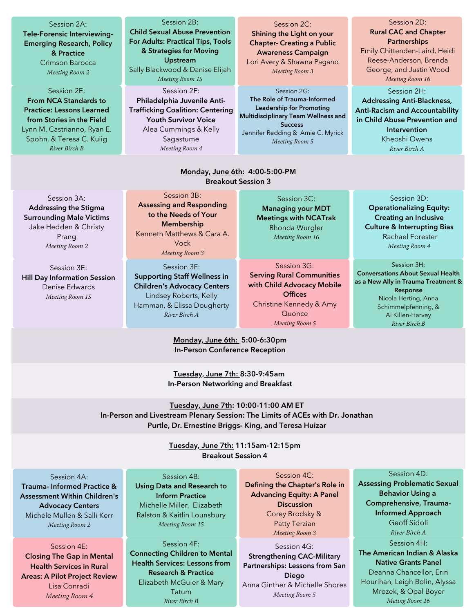#### Session 2A:

Tele-Forensic Interviewing-Emerging Research, Policy & Practice Crimson Barocca Meeting Room 2

Session 2E: From NCA Standards to Practice: Lessons Learned from Stories in the Field Lynn M. Castrianno, Ryan E. Spohn, & Teresa C. Kulig

River Birch B

### Session 2B:

Child Sexual Abuse Prevention For Adults: Practical Tips, Tools & Strategies for Moving Upstream Sally Blackwood & Danise Elijah Meeting Room 15

Session 2F: Philadelphia Juvenile Anti-Trafficking Coalition: Centering Youth Survivor Voice Alea Cummings & Kelly Sagastume Meeting Room 4

Session 2C: Shining the Light on your Chapter- Creating a Public Awareness Campaign Lori Avery & Shawna Pagano Meeting Room 3

Session 2G: The Role of Trauma-Informed Leadership for Promoting Multidisciplinary Team Wellness and **Success** Jennifer Redding & Amie C. Myrick Meeting Room 5

# Session 2D: Rural CAC and Chapter **Partnerships** Emily Chittenden-Laird, Heidi

Reese-Anderson, Brenda George, and Justin Wood Meeting Room 16

Session 2H: Addressing Anti-Blackness, Anti-Racism and Accountability in Child Abuse Prevention and Intervention Kheoshi Owens River Birch A

### Monday, June 6th: 4:00-5:00-PM Breakout Session 3

Session 3A: Addressing the Stigma Surrounding Male Victims Jake Hedden & Christy Prang Meeting Room 2

Session 3E: Hill Day Information Session Denise Edwards Meeting Room 15

Session 3B: Assessing and Responding to the Needs of Your Membership Kenneth Matthews & Cara A. Vock Meeting Room 3 Session 3F:

Supporting Staff Wellness in Children's Advocacy Centers Lindsey Roberts, Kelly Hamman, & Elissa Dougherty River Birch A

Session 3C: Managing your MDT Meetings with NCATrak Rhonda Wurgler Meeting Room 16

Session 3G:

Serving Rural Communities with Child Advocacy Mobile **Offices** Christine Kennedy & Amy **Quonce** Meeting Room 5

Session 3D: Operationalizing Equity: Creating an Inclusive Culture & Interrupting Bias Rachael Forester Meeting Room 4

Session 3H:

Conversations About Sexual Health as a New Ally in Trauma Treatment & Response Nicola Herting, Anna Schimmelpfenning, & Al Killen-Harvey River Birch B

# Monday, June 6th: 5:00-6:30pm In-Person Conference Reception

Tuesday, June 7th: 8:30-9:45am In-Person Networking and Breakfast

Tuesday, June 7th: 10:00-11:00 AM ET In-Person and Livestream Plenary Session: The Limits of ACEs with Dr. Jonathan Purtle, Dr. Ernestine Briggs- King, and Teresa Huizar

> Tuesday, June 7th: 11:15am-12:15pm Breakout Session 4

### Session 4A:

Trauma- Informed Practice & Assessment Within Children's Advocacy Centers Michele Mullen & Salli Kerr Meeting Room 2

Session 4E: Closing The Gap in Mental Health Services in Rural Areas: A Pilot Project Review Lisa Conradi Meeting Room 4

### Session 4B:

Using Data and Research to Inform Practice Michelle Miller, Elizabeth Ralston & Kaitlin Lounsbury Meeting Room 15

Session 4F: Connecting Children to Mental Health Services: Lessons from Research & Practice Elizabeth McGuier & Mary Tatum River Birch B

### Session 4C:

Defining the Chapter's Role in Advancing Equity: A Panel **Discussion** Corey Brodsky & Patty Terzian Meeting Room 3

Session 4G: Strengthening CAC-Military Partnerships: Lessons from San Diego Anna Ginther & Michelle Shores Meeting Room 5

#### Session 4D:

Assessing Problematic Sexual Behavior Using a Comprehensive, Trauma-Informed Approach Geoff Sidoli River Birch A Session 4H: The American Indian & Alaska

Native Grants Panel Deanna Chancellor, Erin Hourihan, Leigh Bolin, Alyssa Mrozek, & Opal Boyer Meting Room 16